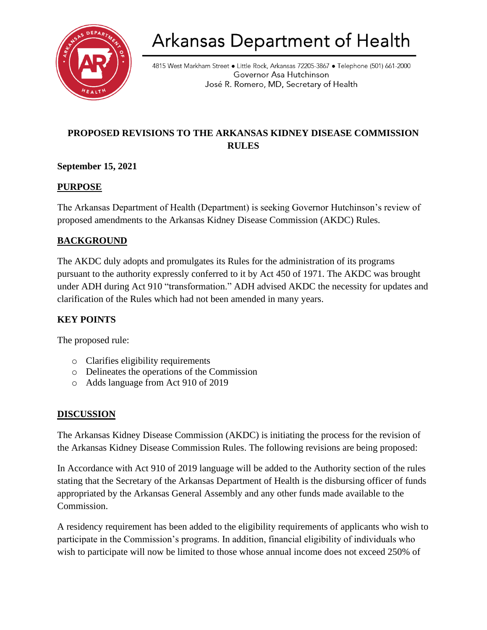

# **Arkansas Department of Health**

4815 West Markham Street • Little Rock, Arkansas 72205-3867 • Telephone (501) 661-2000 Governor Asa Hutchinson José R. Romero, MD, Secretary of Health

# **PROPOSED REVISIONS TO THE ARKANSAS KIDNEY DISEASE COMMISSION RULES**

# **September 15, 2021**

# **PURPOSE**

The Arkansas Department of Health (Department) is seeking Governor Hutchinson's review of proposed amendments to the Arkansas Kidney Disease Commission (AKDC) Rules.

# **BACKGROUND**

The AKDC duly adopts and promulgates its Rules for the administration of its programs pursuant to the authority expressly conferred to it by Act 450 of 1971. The AKDC was brought under ADH during Act 910 "transformation." ADH advised AKDC the necessity for updates and clarification of the Rules which had not been amended in many years.

# **KEY POINTS**

The proposed rule:

- o Clarifies eligibility requirements
- o Delineates the operations of the Commission
- o Adds language from Act 910 of 2019

# **DISCUSSION**

The Arkansas Kidney Disease Commission (AKDC) is initiating the process for the revision of the Arkansas Kidney Disease Commission Rules. The following revisions are being proposed:

In Accordance with Act 910 of 2019 language will be added to the Authority section of the rules stating that the Secretary of the Arkansas Department of Health is the disbursing officer of funds appropriated by the Arkansas General Assembly and any other funds made available to the Commission.

A residency requirement has been added to the eligibility requirements of applicants who wish to participate in the Commission's programs. In addition, financial eligibility of individuals who wish to participate will now be limited to those whose annual income does not exceed 250% of